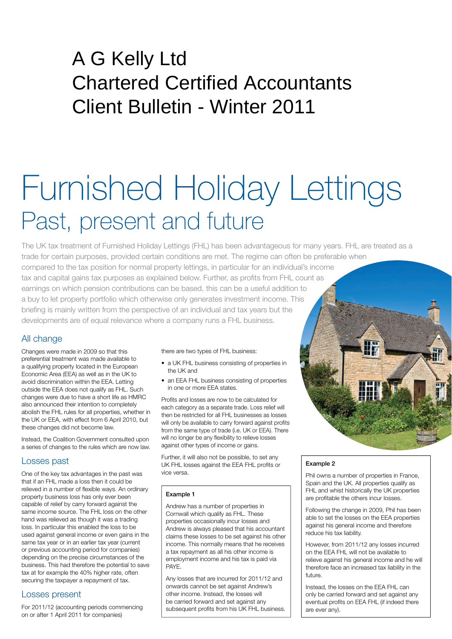# A G Kelly Ltd Chartered Certified Accountants Client Bulletin - Winter 2011

# Furnished Holiday Lettings Past, present and future

The UK tax treatment of Furnished Holiday Lettings (FHL) has been advantageous for many years. FHL are treated as a trade for certain purposes, provided certain conditions are met. The regime can often be preferable when compared to the tax position for normal property lettings, in particular for an individual's income tax and capital gains tax purposes as explained below. Further, as profits from FHL count as earnings on which pension contributions can be based, this can be a useful addition to a buy to let property portfolio which otherwise only generates investment income. This briefing is mainly written from the perspective of an individual and tax years but the developments are of equal relevance where a company runs a FHL business.

## All change

Changes were made in 2009 so that this preferential treatment was made available to a qualifying property located in the European Economic Area (EEA) as well as in the UK to avoid discrimination within the EEA. Letting outside the EEA does not qualify as FHL. Such changes were due to have a short life as HMRC also announced their intention to completely abolish the FHL rules for all properties, whether in the UK or EEA, with effect from 6 April 2010, but these changes did not become law.

Instead, the Coalition Government consulted upon a series of changes to the rules which are now law.

#### Losses past

One of the key tax advantages in the past was that if an FHL made a loss then it could be relieved in a number of flexible ways. An ordinary property business loss has only ever been capable of relief by carry forward against the same income source. The FHL loss on the other hand was relieved as though it was a trading loss. In particular this enabled the loss to be used against general income or even gains in the same tax year or in an earlier tax year (current or previous accounting period for companies) depending on the precise circumstances of the business. This had therefore the potential to save tax at for example the 40% higher rate, often securing the taxpayer a repayment of tax.

#### Losses present

For 2011/12 (accounting periods commencing on or after 1 April 2011 for companies)

there are two types of FHL business:

- a UK FHL business consisting of properties in the UK and
- an EEA FHL business consisting of properties in one or more EEA states.

Profits and losses are now to be calculated for each category as a separate trade. Loss relief will then be restricted for all FHL businesses as losses will only be available to carry forward against profits from the same type of trade (i.e. UK or EEA). There will no longer be any flexibility to relieve losses against other types of income or gains.

Further, it will also not be possible, to set any UK FHL losses against the EEA FHL profits or vice versa.

#### Example 1

Andrew has a number of properties in Cornwall which qualify as FHL. These properties occasionally incur losses and Andrew is always pleased that his accountant claims these losses to be set against his other income. This normally means that he receives a tax repayment as all his other income is employment income and his tax is paid via PAYE.

Any losses that are incurred for 2011/12 and onwards cannot be set against Andrew's other income. Instead, the losses will be carried forward and set against any subsequent profits from his UK FHL business.

#### Example 2

Phil owns a number of properties in France, Spain and the UK. All properties qualify as FHL and whist historically the UK properties are profitable the others incur losses.

 $\mathbb{T}^n$ 

Following the change in 2009, Phil has been able to set the losses on the EEA properties against his general income and therefore reduce his tax liability.

However, from 2011/12 any losses incurred on the EEA FHL will not be available to relieve against his general income and he will therefore face an increased tax liability in the future.

Instead, the losses on the EEA FHL can only be carried forward and set against any eventual profits on EEA FHL (if indeed there are ever any).